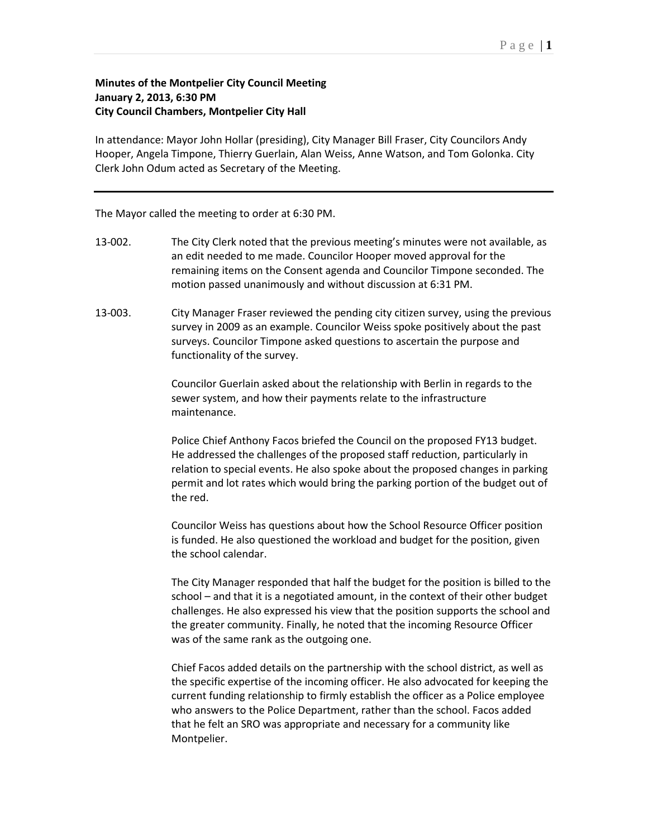## **Minutes of the Montpelier City Council Meeting January 2, 2013, 6:30 PM City Council Chambers, Montpelier City Hall**

In attendance: Mayor John Hollar (presiding), City Manager Bill Fraser, City Councilors Andy Hooper, Angela Timpone, Thierry Guerlain, Alan Weiss, Anne Watson, and Tom Golonka. City Clerk John Odum acted as Secretary of the Meeting.

The Mayor called the meeting to order at 6:30 PM.

- 13-002. The City Clerk noted that the previous meeting's minutes were not available, as an edit needed to me made. Councilor Hooper moved approval for the remaining items on the Consent agenda and Councilor Timpone seconded. The motion passed unanimously and without discussion at 6:31 PM.
- 13-003. City Manager Fraser reviewed the pending city citizen survey, using the previous survey in 2009 as an example. Councilor Weiss spoke positively about the past surveys. Councilor Timpone asked questions to ascertain the purpose and functionality of the survey.

Councilor Guerlain asked about the relationship with Berlin in regards to the sewer system, and how their payments relate to the infrastructure maintenance.

Police Chief Anthony Facos briefed the Council on the proposed FY13 budget. He addressed the challenges of the proposed staff reduction, particularly in relation to special events. He also spoke about the proposed changes in parking permit and lot rates which would bring the parking portion of the budget out of the red.

Councilor Weiss has questions about how the School Resource Officer position is funded. He also questioned the workload and budget for the position, given the school calendar.

The City Manager responded that half the budget for the position is billed to the school – and that it is a negotiated amount, in the context of their other budget challenges. He also expressed his view that the position supports the school and the greater community. Finally, he noted that the incoming Resource Officer was of the same rank as the outgoing one.

Chief Facos added details on the partnership with the school district, as well as the specific expertise of the incoming officer. He also advocated for keeping the current funding relationship to firmly establish the officer as a Police employee who answers to the Police Department, rather than the school. Facos added that he felt an SRO was appropriate and necessary for a community like Montpelier.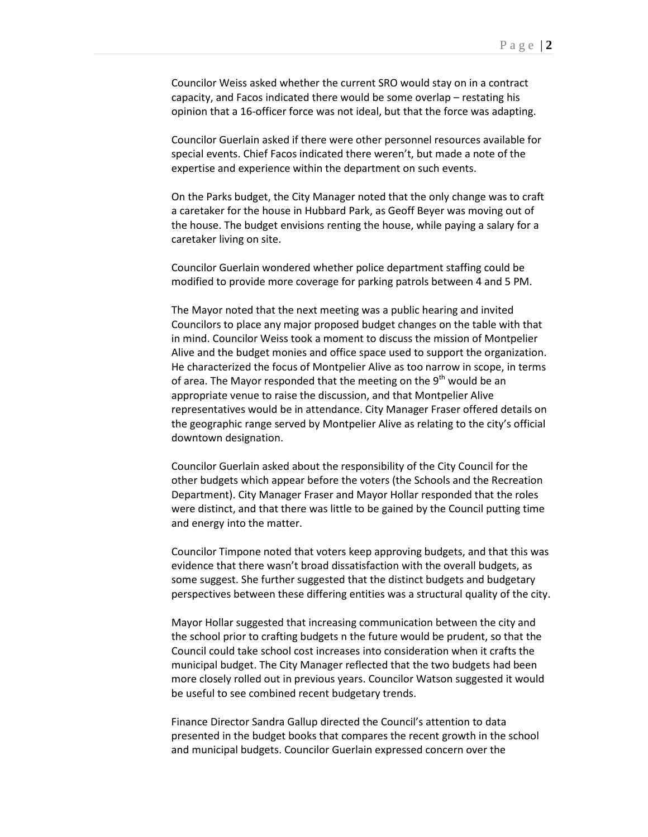Councilor Weiss asked whether the current SRO would stay on in a contract capacity, and Facos indicated there would be some overlap – restating his opinion that a 16-officer force was not ideal, but that the force was adapting.

Councilor Guerlain asked if there were other personnel resources available for special events. Chief Facos indicated there weren't, but made a note of the expertise and experience within the department on such events.

On the Parks budget, the City Manager noted that the only change was to craft a caretaker for the house in Hubbard Park, as Geoff Beyer was moving out of the house. The budget envisions renting the house, while paying a salary for a caretaker living on site.

Councilor Guerlain wondered whether police department staffing could be modified to provide more coverage for parking patrols between 4 and 5 PM.

The Mayor noted that the next meeting was a public hearing and invited Councilors to place any major proposed budget changes on the table with that in mind. Councilor Weiss took a moment to discuss the mission of Montpelier Alive and the budget monies and office space used to support the organization. He characterized the focus of Montpelier Alive as too narrow in scope, in terms of area. The Mayor responded that the meeting on the  $9<sup>th</sup>$  would be an appropriate venue to raise the discussion, and that Montpelier Alive representatives would be in attendance. City Manager Fraser offered details on the geographic range served by Montpelier Alive as relating to the city's official downtown designation.

Councilor Guerlain asked about the responsibility of the City Council for the other budgets which appear before the voters (the Schools and the Recreation Department). City Manager Fraser and Mayor Hollar responded that the roles were distinct, and that there was little to be gained by the Council putting time and energy into the matter.

Councilor Timpone noted that voters keep approving budgets, and that this was evidence that there wasn't broad dissatisfaction with the overall budgets, as some suggest. She further suggested that the distinct budgets and budgetary perspectives between these differing entities was a structural quality of the city.

Mayor Hollar suggested that increasing communication between the city and the school prior to crafting budgets n the future would be prudent, so that the Council could take school cost increases into consideration when it crafts the municipal budget. The City Manager reflected that the two budgets had been more closely rolled out in previous years. Councilor Watson suggested it would be useful to see combined recent budgetary trends.

Finance Director Sandra Gallup directed the Council's attention to data presented in the budget books that compares the recent growth in the school and municipal budgets. Councilor Guerlain expressed concern over the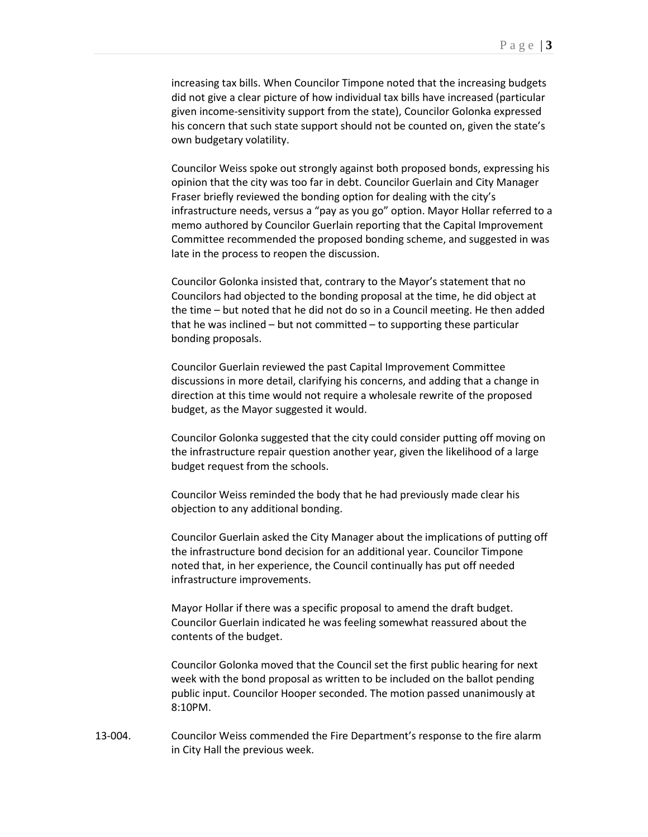increasing tax bills. When Councilor Timpone noted that the increasing budgets did not give a clear picture of how individual tax bills have increased (particular given income-sensitivity support from the state), Councilor Golonka expressed his concern that such state support should not be counted on, given the state's own budgetary volatility.

Councilor Weiss spoke out strongly against both proposed bonds, expressing his opinion that the city was too far in debt. Councilor Guerlain and City Manager Fraser briefly reviewed the bonding option for dealing with the city's infrastructure needs, versus a "pay as you go" option. Mayor Hollar referred to a memo authored by Councilor Guerlain reporting that the Capital Improvement Committee recommended the proposed bonding scheme, and suggested in was late in the process to reopen the discussion.

Councilor Golonka insisted that, contrary to the Mayor's statement that no Councilors had objected to the bonding proposal at the time, he did object at the time – but noted that he did not do so in a Council meeting. He then added that he was inclined – but not committed – to supporting these particular bonding proposals.

Councilor Guerlain reviewed the past Capital Improvement Committee discussions in more detail, clarifying his concerns, and adding that a change in direction at this time would not require a wholesale rewrite of the proposed budget, as the Mayor suggested it would.

Councilor Golonka suggested that the city could consider putting off moving on the infrastructure repair question another year, given the likelihood of a large budget request from the schools.

Councilor Weiss reminded the body that he had previously made clear his objection to any additional bonding.

Councilor Guerlain asked the City Manager about the implications of putting off the infrastructure bond decision for an additional year. Councilor Timpone noted that, in her experience, the Council continually has put off needed infrastructure improvements.

Mayor Hollar if there was a specific proposal to amend the draft budget. Councilor Guerlain indicated he was feeling somewhat reassured about the contents of the budget.

Councilor Golonka moved that the Council set the first public hearing for next week with the bond proposal as written to be included on the ballot pending public input. Councilor Hooper seconded. The motion passed unanimously at 8:10PM.

13-004. Councilor Weiss commended the Fire Department's response to the fire alarm in City Hall the previous week.